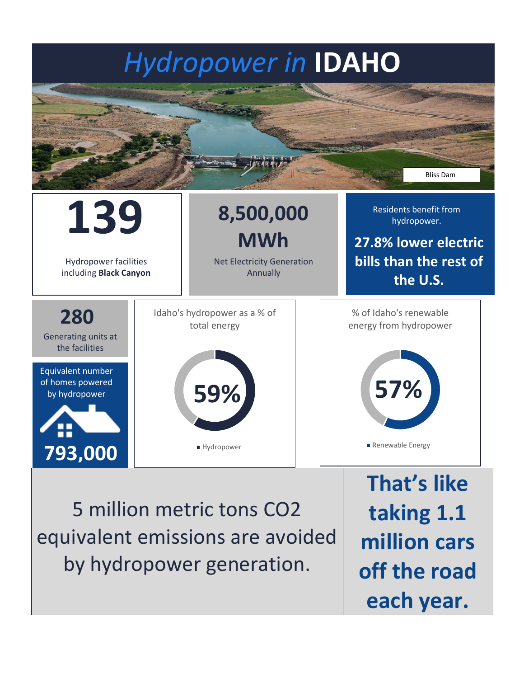## *Hydropower in* **IDAHO**





equivalent emissions are avoided by hydropower generation.

**taking 1.1 million cars off the road each year.**